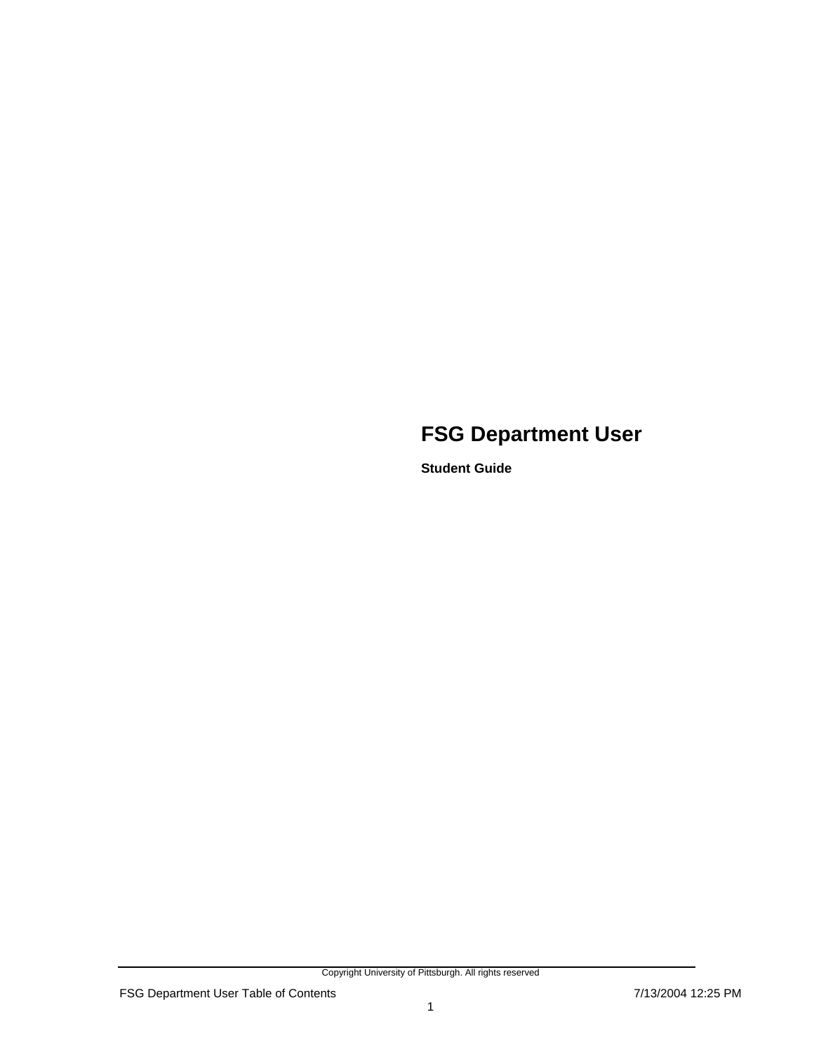### **FSG Department User**

**Student Guide** 

Copyright University of Pittsburgh. All rights reserved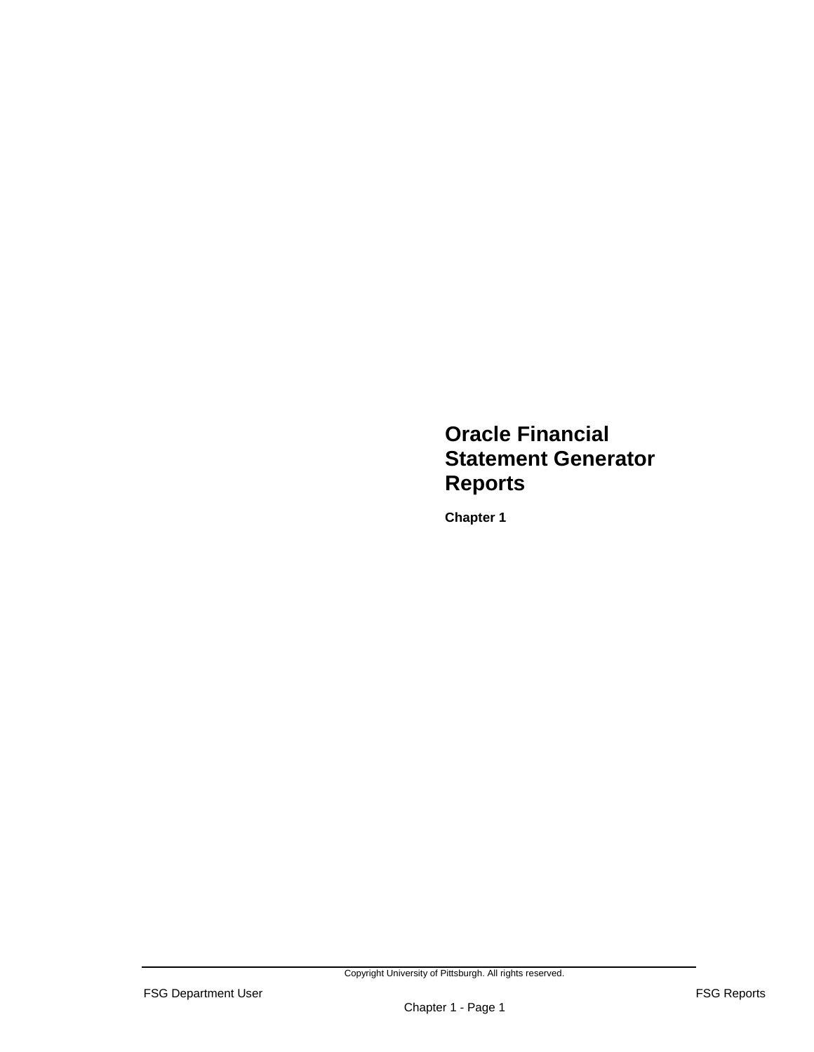### **Oracle Financial Statement Generator Reports**

**Chapter 1**

Copyright University of Pittsburgh. All rights reserved.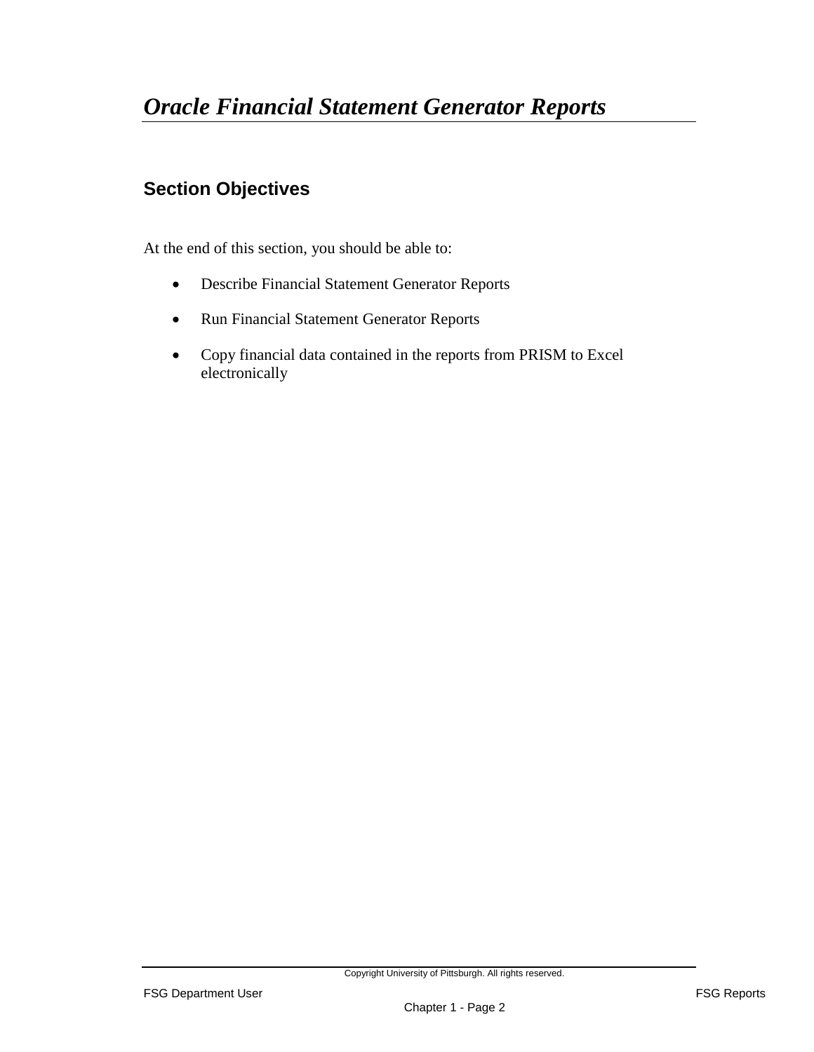### **Section Objectives**

At the end of this section, you should be able to:

- Describe Financial Statement Generator Reports
- Run Financial Statement Generator Reports
- Copy financial data contained in the reports from PRISM to Excel electronically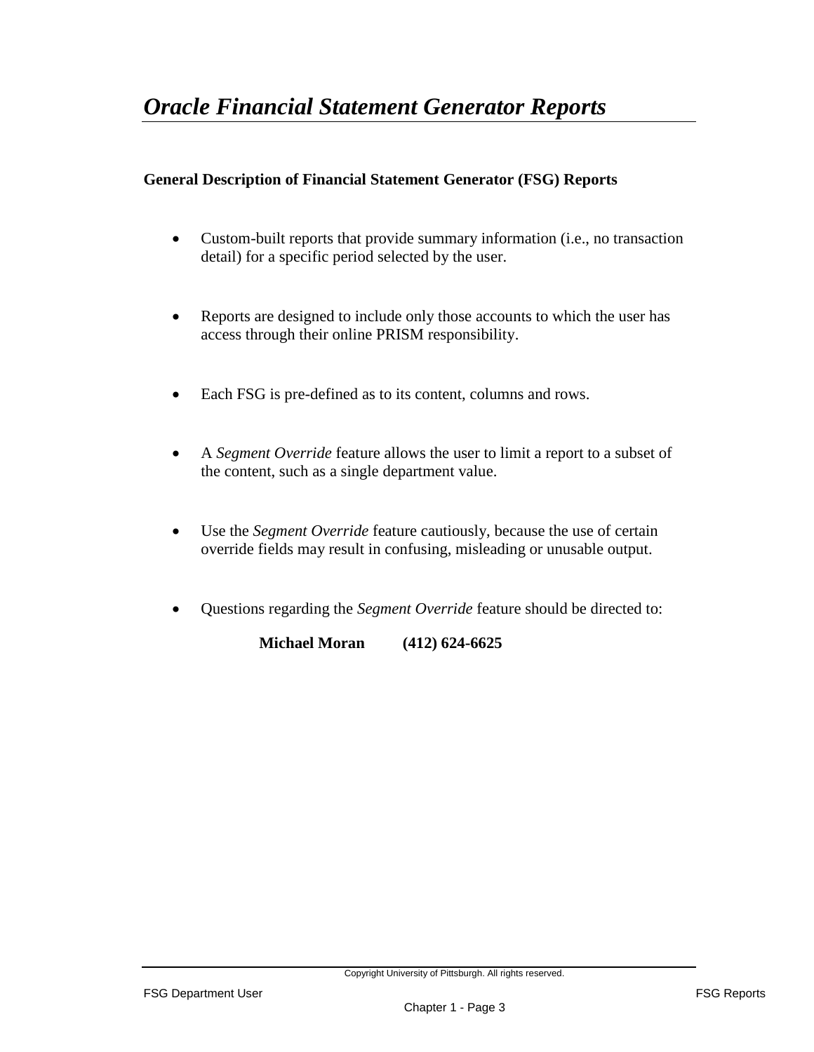#### **General Description of Financial Statement Generator (FSG) Reports**

- Custom-built reports that provide summary information (i.e., no transaction detail) for a specific period selected by the user.
- Reports are designed to include only those accounts to which the user has access through their online PRISM responsibility.
- Each FSG is pre-defined as to its content, columns and rows.
- A *Segment Override* feature allows the user to limit a report to a subset of the content, such as a single department value.
- Use the *Segment Override* feature cautiously, because the use of certain override fields may result in confusing, misleading or unusable output.
- Questions regarding the *Segment Override* feature should be directed to:

 **Michael Moran (412) 624-6625**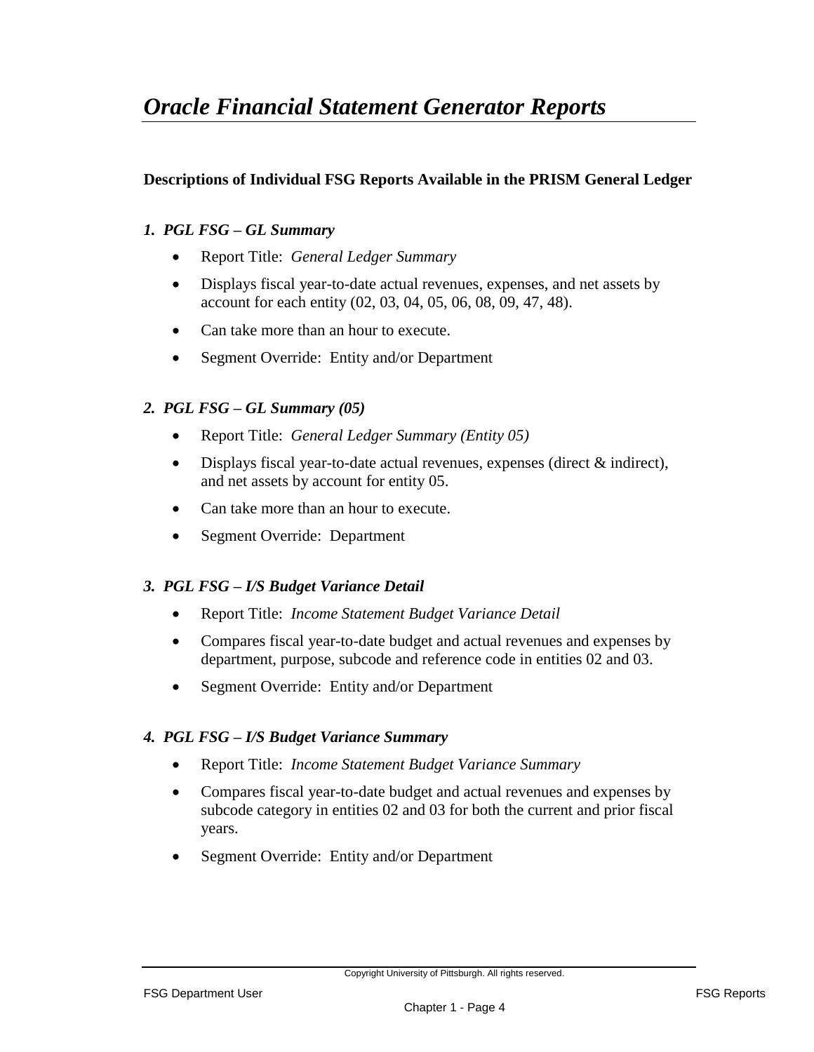### *Oracle Financial Statement Generator Reports*

#### **Descriptions of Individual FSG Reports Available in the PRISM General Ledger**

#### *1. PGL FSG – GL Summary*

- Report Title: *General Ledger Summary*
- Displays fiscal year-to-date actual revenues, expenses, and net assets by account for each entity (02, 03, 04, 05, 06, 08, 09, 47, 48).
- Can take more than an hour to execute.
- Segment Override: Entity and/or Department

#### *2. PGL FSG – GL Summary (05)*

- Report Title: *General Ledger Summary (Entity 05)*
- Displays fiscal year-to-date actual revenues, expenses (direct & indirect), and net assets by account for entity 05.
- Can take more than an hour to execute.
- Segment Override: Department

#### *3. PGL FSG – I/S Budget Variance Detail*

- Report Title: *Income Statement Budget Variance Detail*
- Compares fiscal year-to-date budget and actual revenues and expenses by department, purpose, subcode and reference code in entities 02 and 03.
- Segment Override: Entity and/or Department

#### *4. PGL FSG – I/S Budget Variance Summary*

- Report Title: *Income Statement Budget Variance Summary*
- Compares fiscal year-to-date budget and actual revenues and expenses by subcode category in entities 02 and 03 for both the current and prior fiscal years.
- Segment Override: Entity and/or Department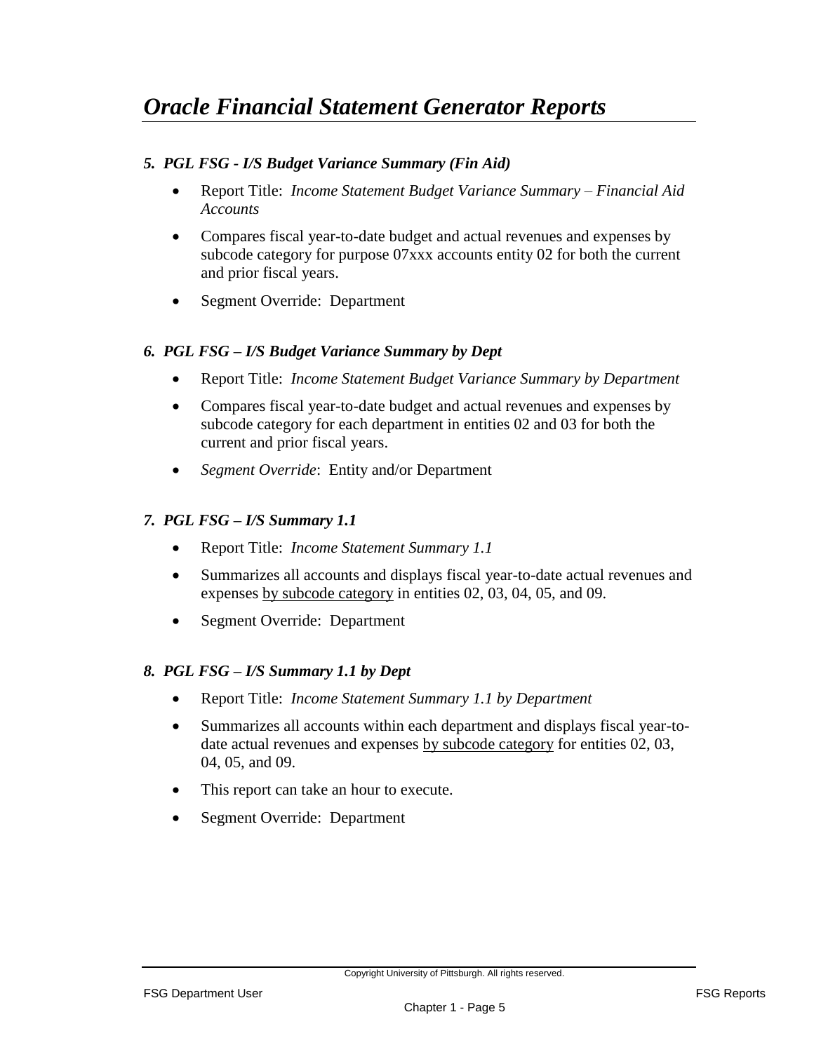#### *5. PGL FSG - I/S Budget Variance Summary (Fin Aid)*

- Report Title: *Income Statement Budget Variance Summary – Financial Aid Accounts*
- Compares fiscal year-to-date budget and actual revenues and expenses by subcode category for purpose 07xxx accounts entity 02 for both the current and prior fiscal years.
- Segment Override: Department

#### *6. PGL FSG – I/S Budget Variance Summary by Dept*

- Report Title: *Income Statement Budget Variance Summary by Department*
- Compares fiscal year-to-date budget and actual revenues and expenses by subcode category for each department in entities 02 and 03 for both the current and prior fiscal years.
- *Segment Override*: Entity and/or Department

#### *7. PGL FSG – I/S Summary 1.1*

- Report Title: *Income Statement Summary 1.1*
- Summarizes all accounts and displays fiscal year-to-date actual revenues and expenses by subcode category in entities 02, 03, 04, 05, and 09.
- Segment Override: Department

#### *8. PGL FSG – I/S Summary 1.1 by Dept*

- Report Title: *Income Statement Summary 1.1 by Department*
- Summarizes all accounts within each department and displays fiscal year-todate actual revenues and expenses by subcode category for entities 02, 03, 04, 05, and 09.
- This report can take an hour to execute.
- Segment Override: Department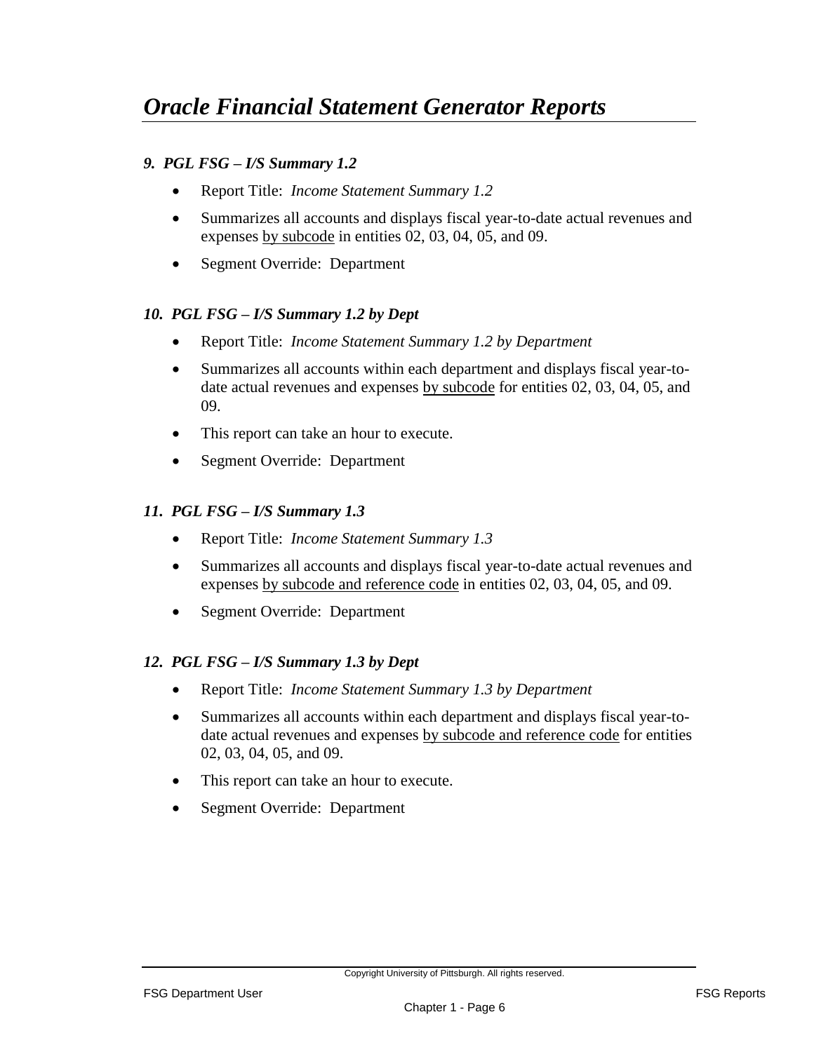#### *9. PGL FSG – I/S Summary 1.2*

- Report Title: *Income Statement Summary 1.2*
- Summarizes all accounts and displays fiscal year-to-date actual revenues and expenses by subcode in entities 02, 03, 04, 05, and 09.
- Segment Override: Department

#### *10. PGL FSG – I/S Summary 1.2 by Dept*

- Report Title: *Income Statement Summary 1.2 by Department*
- Summarizes all accounts within each department and displays fiscal year-todate actual revenues and expenses by subcode for entities 02, 03, 04, 05, and 09.
- This report can take an hour to execute.
- Segment Override: Department

#### *11. PGL FSG – I/S Summary 1.3*

- Report Title: *Income Statement Summary 1.3*
- Summarizes all accounts and displays fiscal year-to-date actual revenues and expenses by subcode and reference code in entities 02, 03, 04, 05, and 09.
- Segment Override: Department

#### *12. PGL FSG – I/S Summary 1.3 by Dept*

- Report Title: *Income Statement Summary 1.3 by Department*
- Summarizes all accounts within each department and displays fiscal year-todate actual revenues and expenses by subcode and reference code for entities 02, 03, 04, 05, and 09.
- This report can take an hour to execute.
- Segment Override: Department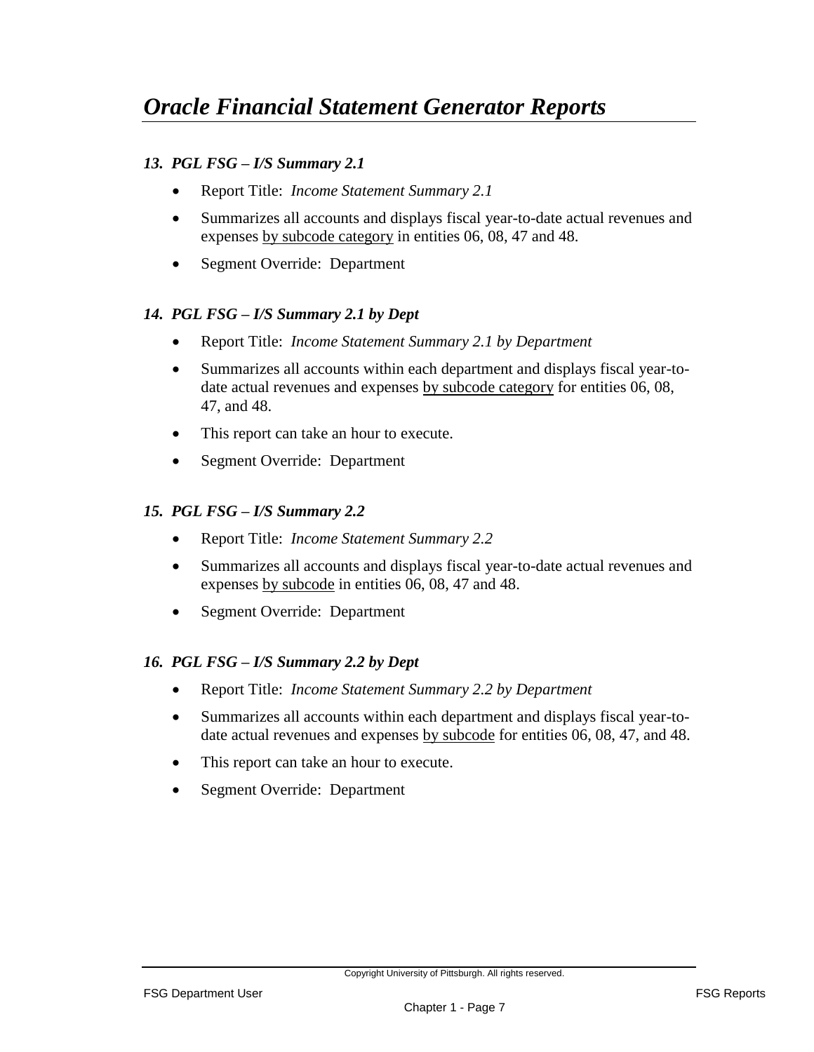#### *13. PGL FSG – I/S Summary 2.1*

- Report Title: *Income Statement Summary 2.1*
- Summarizes all accounts and displays fiscal year-to-date actual revenues and expenses by subcode category in entities 06, 08, 47 and 48.
- Segment Override: Department

#### *14. PGL FSG – I/S Summary 2.1 by Dept*

- Report Title: *Income Statement Summary 2.1 by Department*
- Summarizes all accounts within each department and displays fiscal year-todate actual revenues and expenses by subcode category for entities 06, 08, 47, and 48.
- This report can take an hour to execute.
- Segment Override: Department

#### *15. PGL FSG – I/S Summary 2.2*

- Report Title: *Income Statement Summary 2.2*
- Summarizes all accounts and displays fiscal year-to-date actual revenues and expenses by subcode in entities 06, 08, 47 and 48.
- Segment Override: Department

#### *16. PGL FSG – I/S Summary 2.2 by Dept*

- Report Title: *Income Statement Summary 2.2 by Department*
- Summarizes all accounts within each department and displays fiscal year-todate actual revenues and expenses by subcode for entities 06, 08, 47, and 48.
- This report can take an hour to execute.
- Segment Override: Department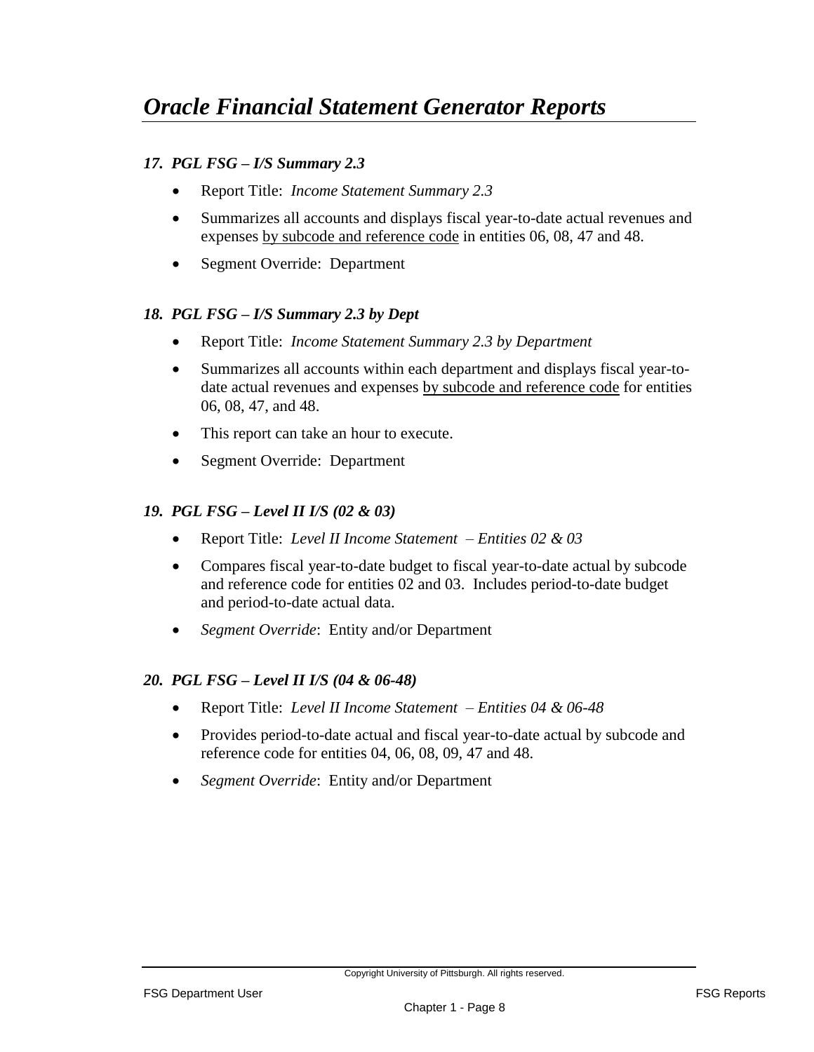#### *17. PGL FSG – I/S Summary 2.3*

- Report Title: *Income Statement Summary 2.3*
- Summarizes all accounts and displays fiscal year-to-date actual revenues and expenses by subcode and reference code in entities 06, 08, 47 and 48.
- Segment Override: Department

#### *18. PGL FSG – I/S Summary 2.3 by Dept*

- Report Title: *Income Statement Summary 2.3 by Department*
- Summarizes all accounts within each department and displays fiscal year-todate actual revenues and expenses by subcode and reference code for entities 06, 08, 47, and 48.
- This report can take an hour to execute.
- Segment Override: Department

#### *19. PGL FSG* **–** *Level II I/S (02 & 03)*

- Report Title: *Level II Income Statement – Entities 02 & 03*
- Compares fiscal year-to-date budget to fiscal year-to-date actual by subcode and reference code for entities 02 and 03. Includes period-to-date budget and period-to-date actual data.
- *Segment Override*: Entity and/or Department

#### *20. PGL FSG* **–** *Level II I/S (04 & 06-48)*

- Report Title: *Level II Income Statement – Entities 04 & 06-48*
- Provides period-to-date actual and fiscal year-to-date actual by subcode and reference code for entities 04, 06, 08, 09, 47 and 48.
- *Segment Override*: Entity and/or Department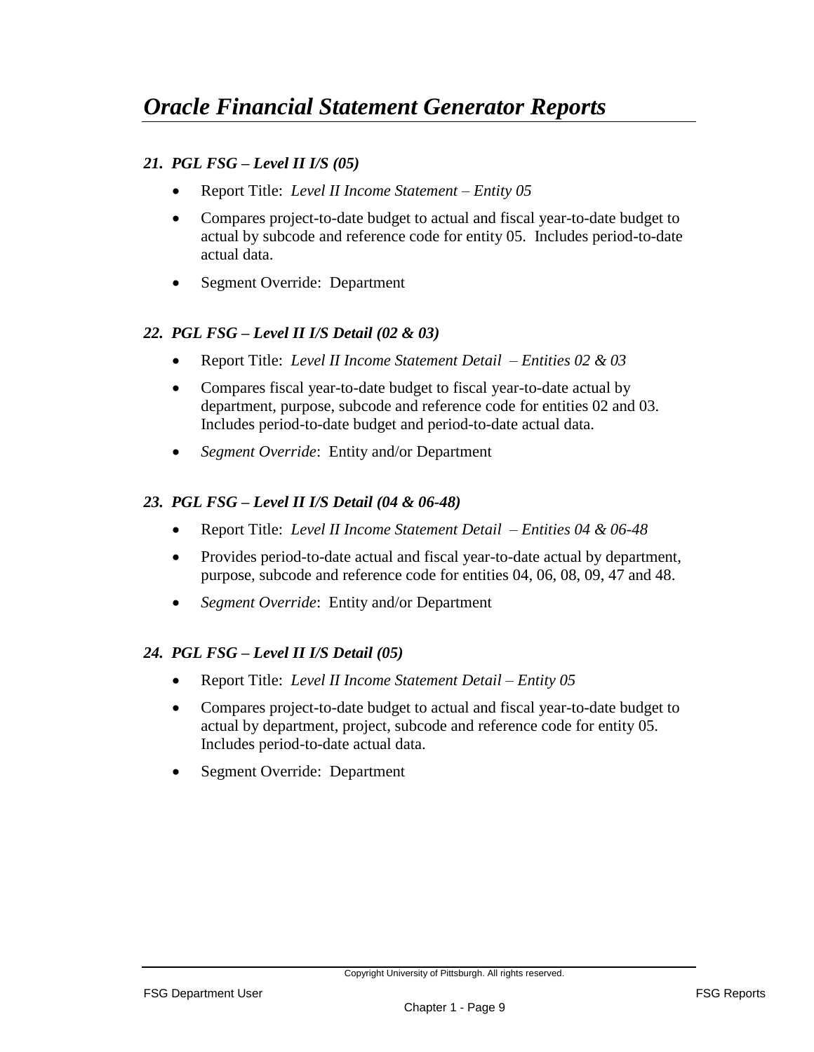#### *21. PGL FSG – Level II I/S (05)*

- Report Title: *Level II Income Statement – Entity 05*
- Compares project-to-date budget to actual and fiscal year-to-date budget to actual by subcode and reference code for entity 05. Includes period-to-date actual data.
- Segment Override: Department

#### *22. PGL FSG* **–** *Level II I/S Detail (02 & 03)*

- Report Title: *Level II Income Statement Detail – Entities 02 & 03*
- Compares fiscal year-to-date budget to fiscal year-to-date actual by department, purpose, subcode and reference code for entities 02 and 03. Includes period-to-date budget and period-to-date actual data.
- *Segment Override*: Entity and/or Department

#### *23. PGL FSG* **–** *Level II I/S Detail (04 & 06-48)*

- Report Title: *Level II Income Statement Detail – Entities 04 & 06-48*
- Provides period-to-date actual and fiscal year-to-date actual by department, purpose, subcode and reference code for entities 04, 06, 08, 09, 47 and 48.
- *Segment Override*: Entity and/or Department

#### *24. PGL FSG – Level II I/S Detail (05)*

- Report Title: *Level II Income Statement Detail – Entity 05*
- Compares project-to-date budget to actual and fiscal year-to-date budget to actual by department, project, subcode and reference code for entity 05. Includes period-to-date actual data.
- Segment Override: Department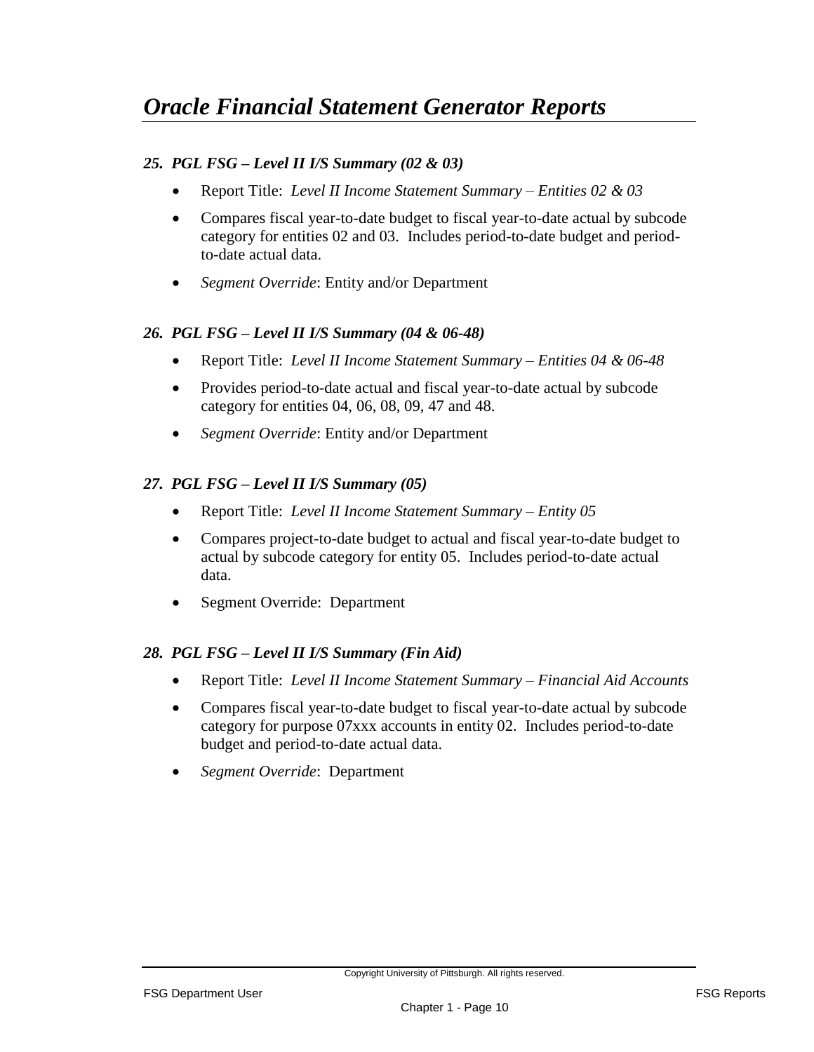#### *25. PGL FSG* **–** *Level II I/S Summary (02 & 03)*

- Report Title: *Level II Income Statement Summary – Entities 02 & 03*
- Compares fiscal year-to-date budget to fiscal year-to-date actual by subcode category for entities 02 and 03. Includes period-to-date budget and periodto-date actual data.
- *Segment Override*: Entity and/or Department

#### *26. PGL FSG* **–** *Level II I/S Summary (04 & 06-48)*

- Report Title: *Level II Income Statement Summary – Entities 04 & 06-48*
- Provides period-to-date actual and fiscal year-to-date actual by subcode category for entities 04, 06, 08, 09, 47 and 48.
- *Segment Override*: Entity and/or Department

#### *27. PGL FSG – Level II I/S Summary (05)*

- Report Title: *Level II Income Statement Summary – Entity 05*
- Compares project-to-date budget to actual and fiscal year-to-date budget to actual by subcode category for entity 05. Includes period-to-date actual data.
- Segment Override: Department

#### *28. PGL FSG* **–** *Level II I/S Summary (Fin Aid)*

- Report Title: *Level II Income Statement Summary Financial Aid Accounts*
- Compares fiscal year-to-date budget to fiscal year-to-date actual by subcode category for purpose 07xxx accounts in entity 02. Includes period-to-date budget and period-to-date actual data.
- *Segment Override*: Department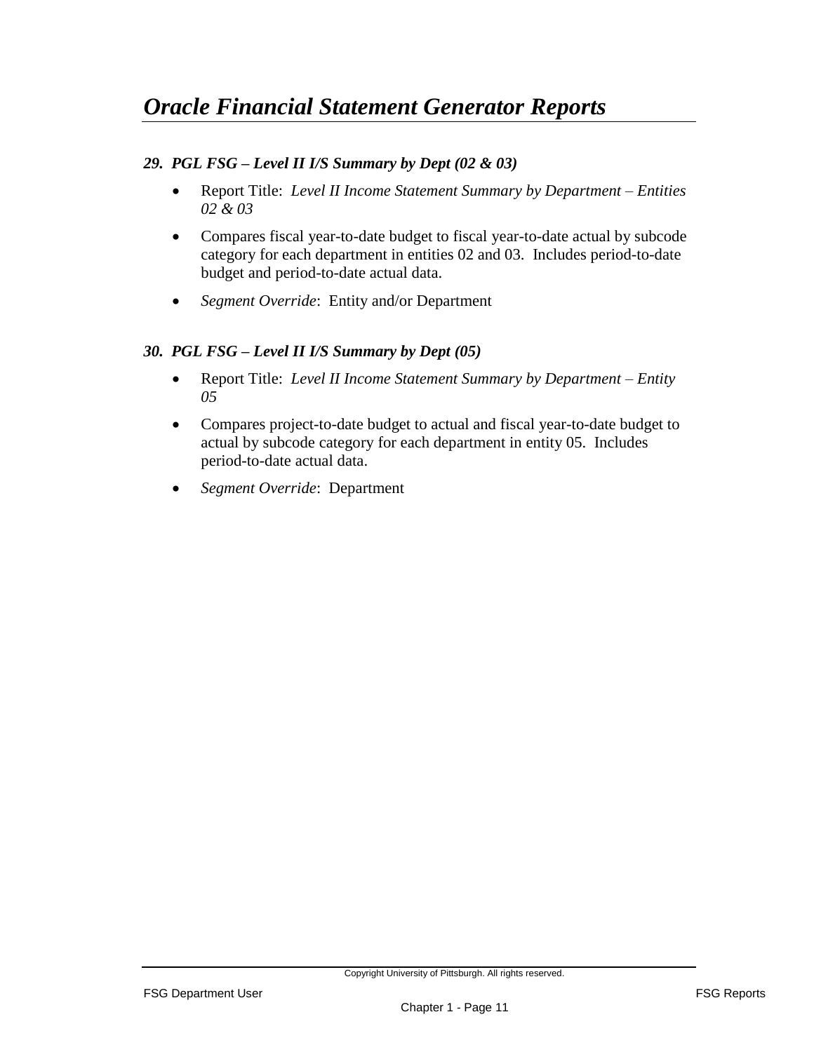#### *29. PGL FSG – Level II I/S Summary by Dept (02 & 03)*

- Report Title: *Level II Income Statement Summary by Department – Entities 02 & 03*
- Compares fiscal year-to-date budget to fiscal year-to-date actual by subcode category for each department in entities 02 and 03. Includes period-to-date budget and period-to-date actual data.
- *Segment Override*: Entity and/or Department

#### *30. PGL FSG – Level II I/S Summary by Dept (05)*

- Report Title: *Level II Income Statement Summary by Department – Entity 05*
- Compares project-to-date budget to actual and fiscal year-to-date budget to actual by subcode category for each department in entity 05. Includes period-to-date actual data.
- *Segment Override*: Department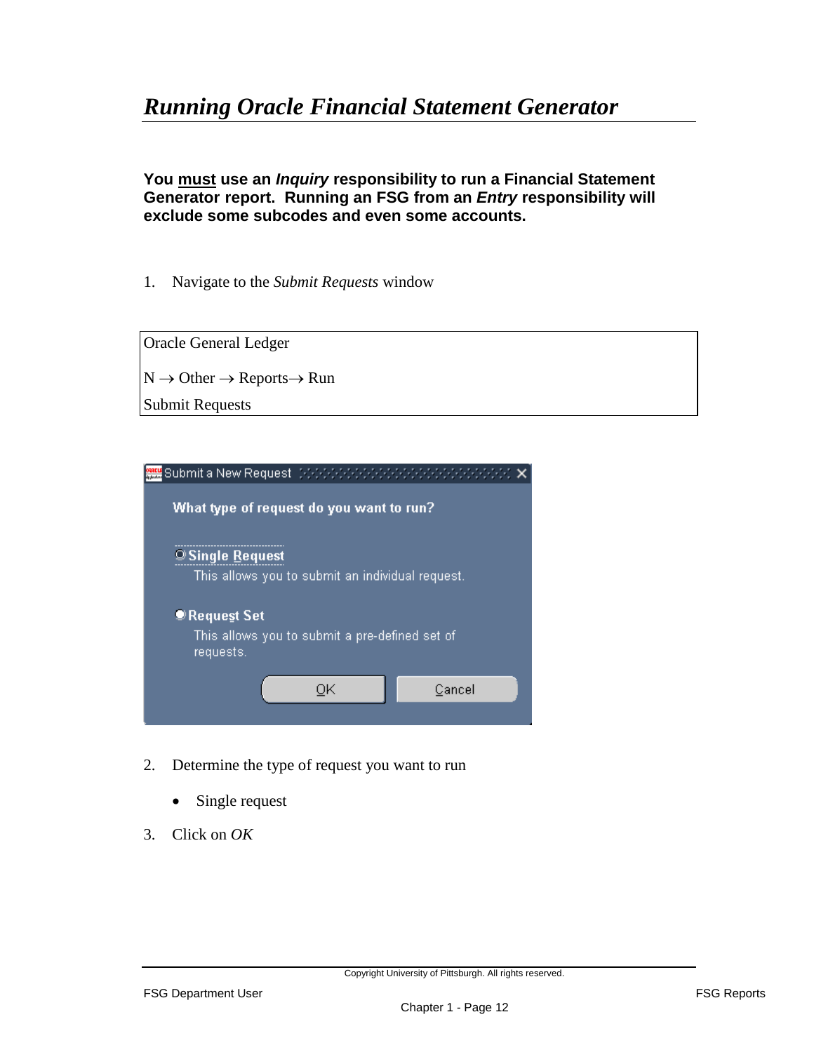**You must use an** *Inquiry* **responsibility to run a Financial Statement Generator report. Running an FSG from an** *Entry* **responsibility will exclude some subcodes and even some accounts.**

1. Navigate to the *Submit Requests* window





- 2. Determine the type of request you want to run
	- Single request
- 3. Click on *OK*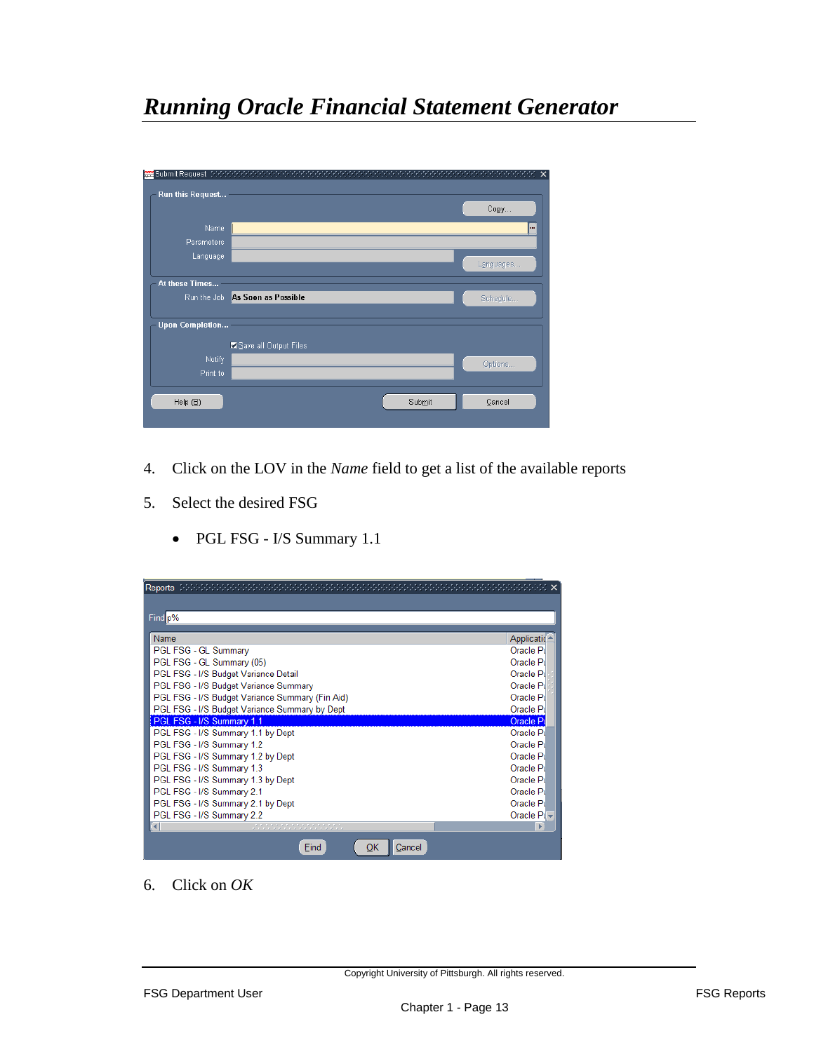| <mark>樂堂</mark> Submit Request コンファンファンファンファンファン<br>Run this Request | n de la caractería de la caractería de la caractería | Reference <b>x</b> |
|----------------------------------------------------------------------|------------------------------------------------------|--------------------|
|                                                                      |                                                      | Copy               |
| Name                                                                 |                                                      |                    |
| <b>Parameters</b>                                                    |                                                      |                    |
| Language                                                             |                                                      |                    |
|                                                                      |                                                      | Languages          |
| At these Times                                                       |                                                      |                    |
|                                                                      | Run the Job As Soon as Possible                      | Schedule           |
|                                                                      |                                                      |                    |
| <b>Upon Completion</b>                                               |                                                      |                    |
|                                                                      | Save all Output Files                                |                    |
| <b>Notify</b>                                                        |                                                      | Options            |
| Print to                                                             |                                                      |                    |
|                                                                      |                                                      |                    |
| Help $(\underline{\mathbb{B}})$                                      | Submit                                               | Cancel             |
|                                                                      |                                                      |                    |

- 4. Click on the LOV in the *Name* field to get a list of the available reports
- 5. Select the desired FSG
	- PGL FSG I/S Summary 1.1

| Reports                                         |                    |
|-------------------------------------------------|--------------------|
|                                                 |                    |
| Find p%                                         |                    |
|                                                 |                    |
| Name                                            | Applicatic         |
| PGL FSG - GL Summary                            | Oracle Pil         |
| PGL FSG - GL Summary (05)                       | Oracle Pu          |
| PGL FSG - I/S Budget Variance Detail            | Oracle Pi          |
| PGL FSG - I/S Budget Variance Summary           | Oracle Pi          |
| PGL FSG - I/S Budget Variance Summary (Fin Aid) | Oracle Pi          |
| PGL FSG - I/S Budget Variance Summary by Dept   | Oracle Pu          |
| PGL FSG - I/S Summary 1.1                       | Oracle Pu          |
| PGL FSG - I/S Summary 1.1 by Dept               | Oracle Pil         |
| PGL FSG - I/S Summary 1.2                       | Oracle Pi          |
| PGL FSG - I/S Summary 1.2 by Dept               | Oracle Pil         |
| PGL FSG - I/S Summary 1.3                       | Oracle Pil         |
| PGL FSG - I/S Summary 1.3 by Dept               | Oracle Pi          |
| PGL FSG - I/S Summary 2.1                       | Oracle Pil         |
| PGL FSG - I/S Summary 2.1 by Dept               | Oracle Pil         |
| PGL FSG - I/S Summary 2.2                       | Oracle $P\sqrt{v}$ |
| unun muhammasi mengenak                         |                    |
| Cancel<br>Find<br>ОК                            |                    |

6. Click on *OK*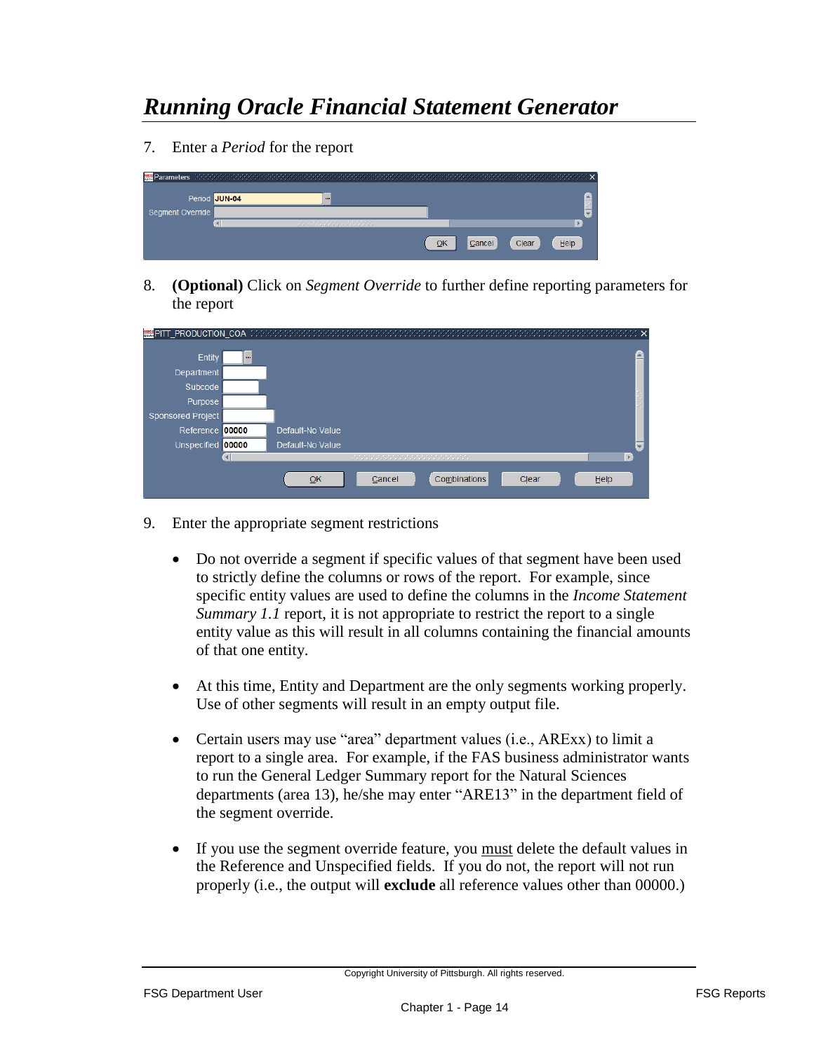7. Enter a *Period* for the report



8. **(Optional)** Click on *Segment Override* to further define reporting parameters for the report

| <b>WEIPITT PRODUCTION COA</b> | - 2000-0000<br>-1999-1999-1999-1999-1999-1999-1999-1999-1999-1999-1999-1999-1999-1999-1999-1999-1999-1999-1999-1999 |      |
|-------------------------------|---------------------------------------------------------------------------------------------------------------------|------|
| Entity<br>                    |                                                                                                                     |      |
| Department                    |                                                                                                                     |      |
| Subcode                       |                                                                                                                     |      |
| Purpose                       |                                                                                                                     |      |
| <b>Sponsored Project</b>      |                                                                                                                     |      |
| Reference 00000               | Default-No Value                                                                                                    |      |
| Unspecified 00000             | Default-No Value                                                                                                    |      |
|                               | under de la propieta de la partida de la partida                                                                    | Р    |
|                               | Combinations<br>QK<br>Clear<br>Cancel                                                                               | Help |

- 9. Enter the appropriate segment restrictions
	- Do not override a segment if specific values of that segment have been used to strictly define the columns or rows of the report. For example, since specific entity values are used to define the columns in the *Income Statement Summary 1.1* report, it is not appropriate to restrict the report to a single entity value as this will result in all columns containing the financial amounts of that one entity.
	- At this time, Entity and Department are the only segments working properly. Use of other segments will result in an empty output file.
	- Certain users may use "area" department values (i.e., ARExx) to limit a report to a single area. For example, if the FAS business administrator wants to run the General Ledger Summary report for the Natural Sciences departments (area 13), he/she may enter "ARE13" in the department field of the segment override.
	- If you use the segment override feature, you must delete the default values in the Reference and Unspecified fields. If you do not, the report will not run properly (i.e., the output will **exclude** all reference values other than 00000.)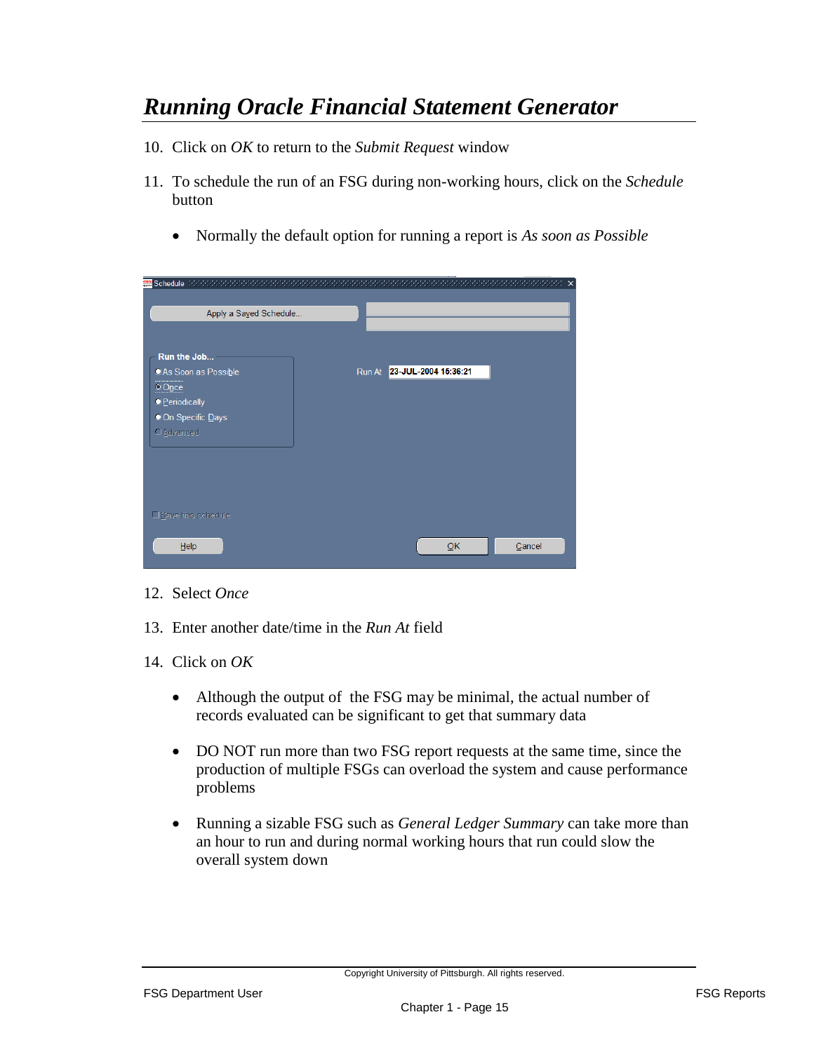- 10. Click on *OK* to return to the *Submit Request* window
- 11. To schedule the run of an FSG during non-working hours, click on the *Schedule* button
	- Normally the default option for running a report is *As soon as Possible*

|                                                                                                                        | $\times$                    |
|------------------------------------------------------------------------------------------------------------------------|-----------------------------|
| Apply a Sayed Schedule                                                                                                 |                             |
| Run the Job<br>OAs Soon as Possible<br>$\odot$ Once<br><b>O</b> Periodically<br>OOn Specific Days<br><b>O</b> Advanced | Run At 23-JUL-2004 15:36:21 |
| □Save this schedule<br>Help                                                                                            | Cancel<br>QK                |

- 12. Select *Once*
- 13. Enter another date/time in the *Run At* field
- 14. Click on *OK*
	- Although the output of the FSG may be minimal, the actual number of records evaluated can be significant to get that summary data
	- DO NOT run more than two FSG report requests at the same time, since the production of multiple FSGs can overload the system and cause performance problems
	- Running a sizable FSG such as *General Ledger Summary* can take more than an hour to run and during normal working hours that run could slow the overall system down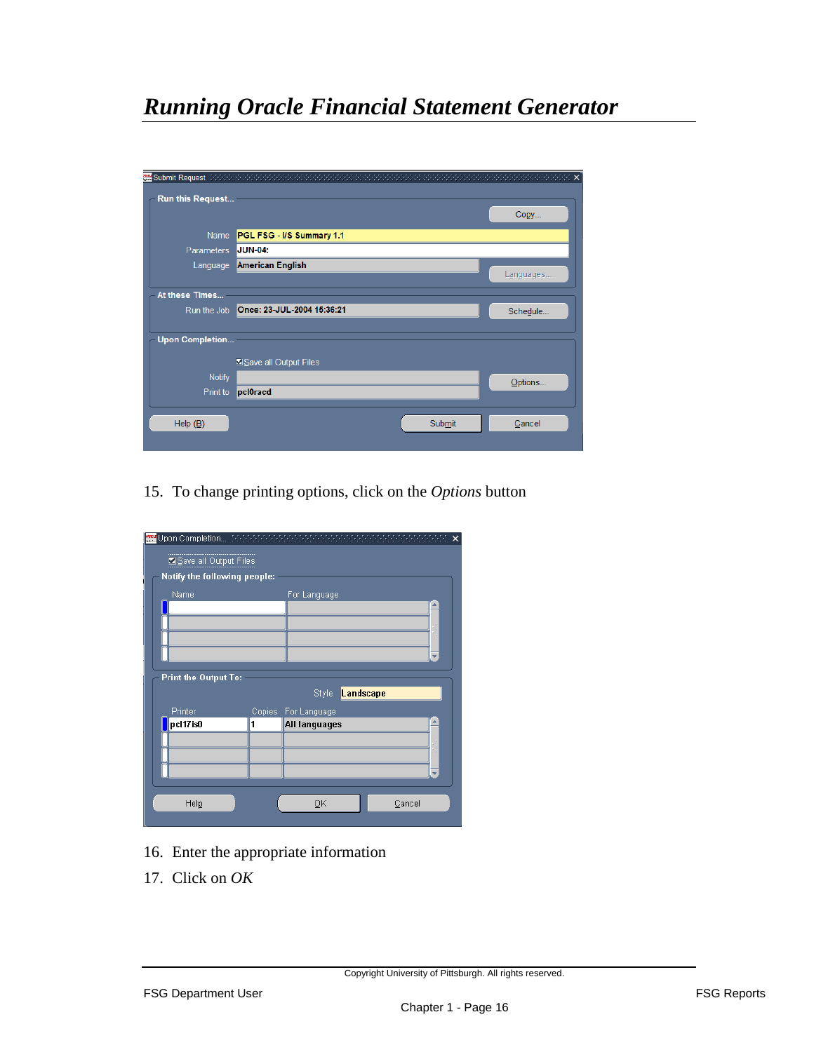| <b>WE</b> Submit Request (2000) CONDINING |                            |           |
|-------------------------------------------|----------------------------|-----------|
| Run this Request                          |                            | Copy      |
| <b>Name</b>                               | PGL FSG - I/S Summary 1.1  |           |
| <b>Parameters</b>                         | <b>JUN-04:</b>             |           |
| Language                                  | American English           |           |
|                                           |                            | Languages |
| At these Times                            |                            |           |
| Run the Job                               | Once: 23-JUL-2004 15:36:21 | Schedule  |
|                                           |                            |           |
| <b>Upon Completion</b>                    |                            |           |
|                                           | Save all Output Files      |           |
| <b>Notify</b>                             |                            | Options   |
| Print to                                  | pcl0racd                   |           |
|                                           |                            |           |
| Help $(\underline{B})$                    | Submit                     | Cancel    |
|                                           |                            |           |

15. To change printing options, click on the *Options* button

| Notify the following people: |   |                      |  |
|------------------------------|---|----------------------|--|
|                              |   |                      |  |
| Name                         |   | For Language         |  |
|                              |   |                      |  |
|                              |   |                      |  |
|                              |   |                      |  |
|                              |   |                      |  |
|                              |   |                      |  |
| <b>Print the Output To:</b>  |   |                      |  |
|                              |   | Landscape<br>Style   |  |
| Printer                      |   | Copies For Language  |  |
| pcl17is0                     | 1 | <b>All languages</b> |  |
|                              |   |                      |  |
|                              |   |                      |  |
|                              |   |                      |  |

- 16. Enter the appropriate information
- 17. Click on *OK*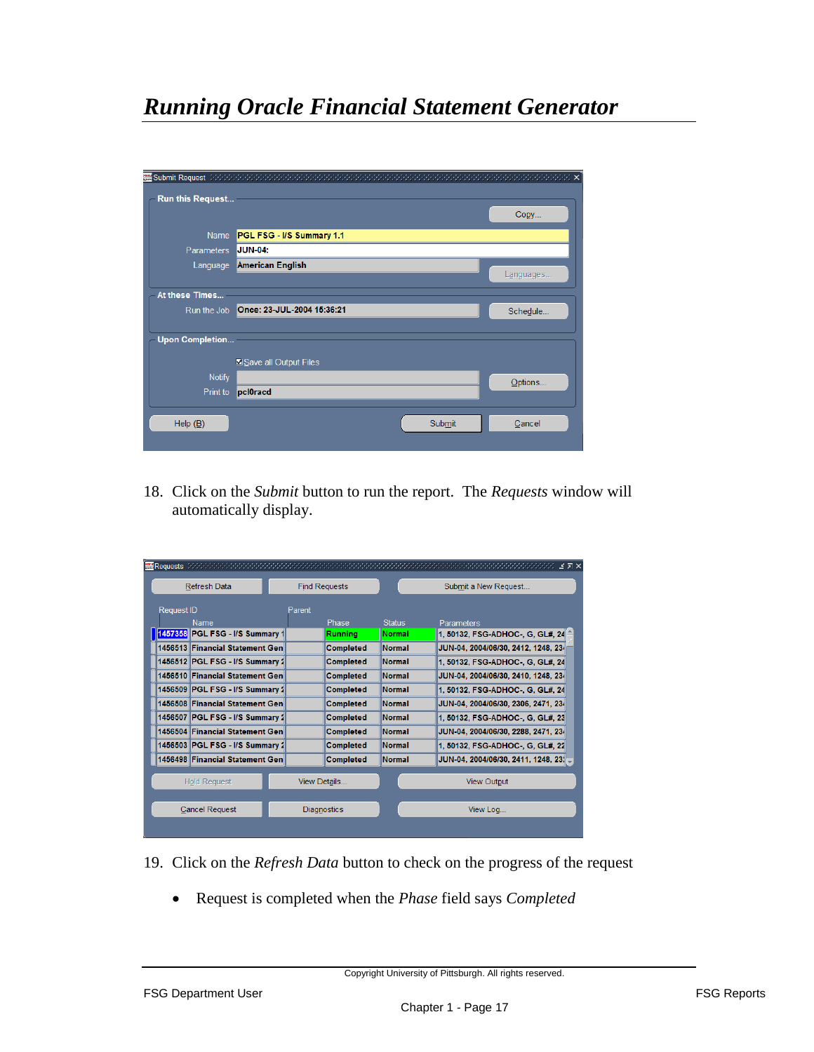| <b>ABE Submit Request</b> Address and all the second services of |                                          |           |
|------------------------------------------------------------------|------------------------------------------|-----------|
| Run this Request                                                 |                                          | Copy      |
|                                                                  | Name PGL FSG - I/S Summary 1.1           |           |
| Parameters JUN-04:                                               |                                          |           |
| Language                                                         | <b>American English</b>                  |           |
|                                                                  |                                          | Languages |
| At these Times                                                   |                                          |           |
|                                                                  | Run the Job   Once: 23-JUL-2004 15:36:21 | Schedule  |
|                                                                  |                                          |           |
| <b>Upon Completion</b>                                           |                                          |           |
|                                                                  | Save all Output Files                    |           |
| <b>Notify</b>                                                    |                                          |           |
| Print to                                                         | pcl0racd                                 | Options   |
|                                                                  |                                          |           |
| Help $(\underline{B})$                                           | Submit                                   | Cancel    |
|                                                                  |                                          |           |

18. Click on the *Submit* button to run the report. The *Requests* window will automatically display.

| <b>Refresh Data</b>             |        | <b>Find Requests</b> |               | Submit a New Request                 |
|---------------------------------|--------|----------------------|---------------|--------------------------------------|
| <b>Request ID</b>               | Parent |                      |               |                                      |
| <b>Name</b>                     |        | Phase                | <b>Status</b> | Parameters                           |
| 1457358 PGL FSG - I/S Summary 1 |        | Runnina              | <b>Normal</b> | 1, 50132, FSG-ADHOC-, G, GL#, 24     |
| 1456513 Financial Statement Gen |        | <b>Completed</b>     | <b>Normal</b> | JUN-04, 2004/06/30, 2412, 1248, 234  |
| 1456512 PGL FSG - I/S Summary 2 |        | <b>Completed</b>     | Normal        | 1.50132. FSG-ADHOC-. G. GL#. 24      |
| 1456510 Financial Statement Gen |        | <b>Completed</b>     | Normal        | JUN-04, 2004/06/30, 2410, 1248, 234  |
| 1456509 PGL FSG - I/S Summary 2 |        | <b>Completed</b>     | <b>Normal</b> | 1, 50132, FSG-ADHOC-, G, GL#, 24     |
| 1456508 Financial Statement Gen |        | <b>Completed</b>     | Normal        | JUN-04, 2004/06/30, 2306, 2471, 234  |
| 1456507 PGL FSG - I/S Summary 2 |        | <b>Completed</b>     | Normal        | 1, 50132, FSG-ADHOC-, G. GL#, 23     |
| 1456504 Financial Statement Gen |        | <b>Completed</b>     | Normal        | JUN-04, 2004/06/30, 2288, 2471, 234  |
| 1456503 PGL FSG - I/S Summary 2 |        | <b>Completed</b>     | Normal        | 1, 50132, FSG-ADHOC-, G, GL#, 22     |
| 1456498 Financial Statement Gen |        | <b>Completed</b>     | Normal        | JUN-04, 2004/06/30, 2411, 1248, 23 - |
|                                 |        |                      |               |                                      |
| <b>Hold Request</b>             |        | View Details         |               | <b>View Output</b>                   |
| <b>Cancel Request</b>           |        | <b>Diagnostics</b>   |               | View Log                             |

- 19. Click on the *Refresh Data* button to check on the progress of the request
	- Request is completed when the *Phase* field says *Completed*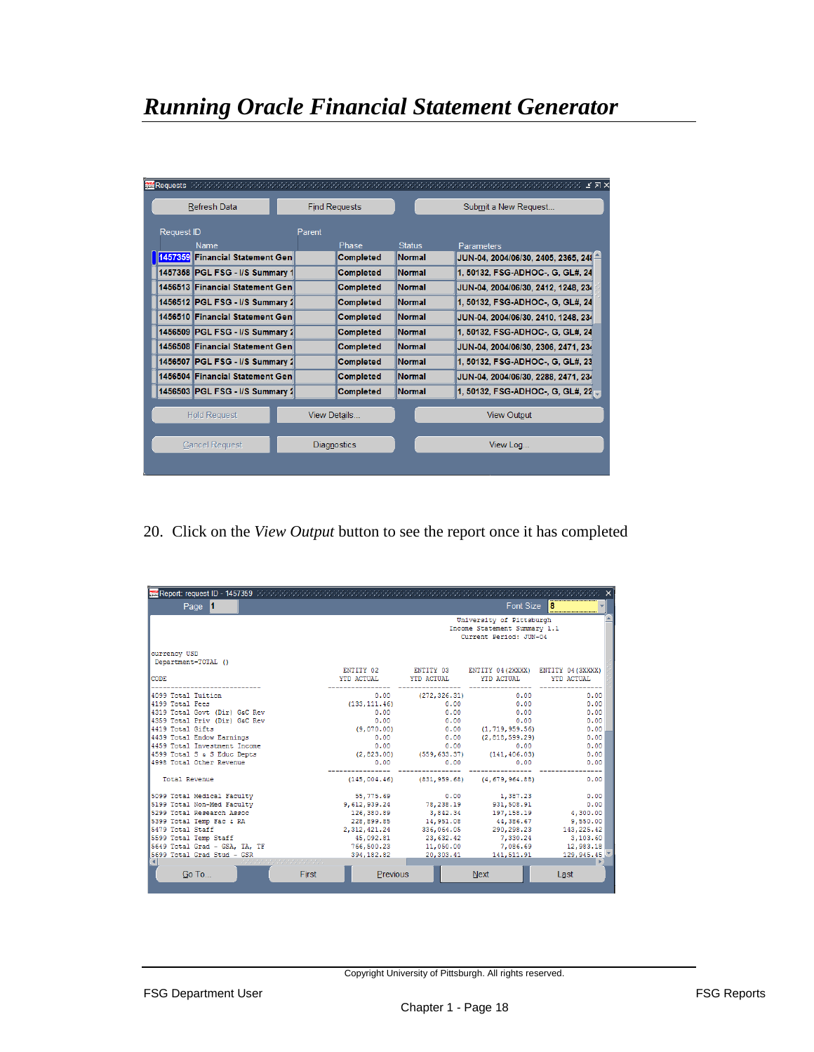|                   | Refresh Data                    |        | <b>Find Requests</b> |               | Submit a New Request                 |
|-------------------|---------------------------------|--------|----------------------|---------------|--------------------------------------|
| <b>Request ID</b> |                                 | Parent |                      |               |                                      |
| Name              |                                 |        | Phase                | <b>Status</b> | Parameters                           |
|                   | 1457359 Financial Statement Gen |        | <b>Completed</b>     | Normal        | JUN-04, 2004/06/30, 2405, 2365, 241- |
|                   | 1457358 PGL FSG - I/S Summary 1 |        | <b>Completed</b>     | Normal        | 1, 50132, FSG-ADHOC-, G, GL#, 24     |
|                   | 1456513 Financial Statement Gen |        | <b>Completed</b>     | Normal        | JUN-04, 2004/06/30, 2412, 1248, 234  |
|                   | 1456512 PGL FSG - I/S Summary 2 |        | <b>Completed</b>     | Normal        | 1, 50132, FSG-ADHOC-, G, GL#, 24     |
|                   | 1456510 Financial Statement Gen |        | <b>Completed</b>     | Normal        | JUN-04, 2004/06/30, 2410, 1248, 234  |
|                   | 1456509 PGL FSG - I/S Summary 2 |        | <b>Completed</b>     | Normal        | 1, 50132, FSG-ADHOC-, G, GL#, 24     |
|                   | 1456508 Financial Statement Gen |        | <b>Completed</b>     | Normal        | JUN-04, 2004/06/30, 2306, 2471, 234  |
|                   | 1456507 PGL FSG - I/S Summary 2 |        | <b>Completed</b>     | Normal        | 1, 50132, FSG-ADHOC-, G, GL#, 23     |
|                   | 1456504 Financial Statement Gen |        | <b>Completed</b>     | Normal        | JUN-04, 2004/06/30, 2288, 2471, 234  |
|                   | 1456503 PGL FSG - I/S Summary 2 |        | <b>Completed</b>     | Normal        | 1, 50132, FSG-ADHOC-, G, GL#, 22     |
|                   | <b>Hold Request</b>             |        | View Details         |               | <b>View Output</b>                   |
|                   | <b>Cancel Request</b>           |        | Diagnostics          |               | View Log                             |

20. Click on the *View Output* button to see the report once it has completed

| Page 1                        |                |                       | Font Size                                                                          | 8          |
|-------------------------------|----------------|-----------------------|------------------------------------------------------------------------------------|------------|
| currency USD                  |                |                       | University of Pittsburgh<br>Income Statement Summary 1.1<br>Current Period: JUN-04 |            |
| Department=TOTAL ()           |                |                       |                                                                                    |            |
| <b>CODE</b>                   | YTD ACTUAL     | YTD ACTUAL            | ENTITY 02 ENTITY 03 ENTITY 04 (2XXXX) ENTITY 04 (3XXXX)<br>YTD ACTUAL              | YTD ACTUAL |
| 4099 Total Tuition            |                | $0.00$ (272, 326, 31) | 0.00                                                                               | 0.00       |
| 4199 Total Fees               | (133, 111, 46) | 0.00                  | 0.00                                                                               | 0.00       |
| 4319 Total Govt (Dir) G&C Rev | 0.00           | 0.00                  | 0.00                                                                               | 0.00       |
| 4359 Total Priv (Dir) G&C Rev | 0.00           | 0.00                  | 0.00                                                                               | 0.00       |
| 4419 Total Gifts              | (9,070,00)     |                       | $0.00$ $(1, 719, 959.56)$                                                          | 0.00       |
| 4439 Total Endow Earnings     | 0.00           |                       | $0.00$ $(2,818,599.29)$                                                            | 0.00       |
| 4459 Total Investment Income  | 0.00           | 0.00                  | 0.00                                                                               | 0.00       |
| 4599 Total S & S Educ Depts   |                |                       | $(2,823.00)$ $(559,633.37)$ $(141,406.03)$                                         | 0.00       |
| 4998 Total Other Revenue      | 0.00           | 0.00                  | 0.00                                                                               | 0.00       |
| <b>Total Revenue</b>          |                |                       | $(145,004,46)$ $(831,959,68)$ $(4,679,964,88)$                                     | 0.00       |
| 5099 Total Medical Faculty    | 55,775.69      | 0.00                  | 1,387.23                                                                           | 0.00       |
| 5199 Total Non-Med Faculty    | 9,612,939.24   | 78,238.19             | 931,508.91                                                                         | 0.00       |
| 5299 Total Research Assoc     | 126,380.89     | 3,842.34              | 197, 158.19                                                                        | 4,300.00   |
| 5399 Total Temp Fac & RA      | 228,899.85     | 14,951,08             | 44,386,67                                                                          | 9,550,00   |
| 5479 Total Staff              | 2, 312, 421.24 | 336,064.05            | 290,298.23                                                                         | 143,225.42 |
| 5599 Total Temp Staff         | 45,092.81      | 23,632.42             | 7,330.24                                                                           | 3,103,60   |
| 5649 Total Grad - GSA, TA, TF | 766,500.23     | 11,050.00             | 7,086.69                                                                           | 12,983.18  |
| 5699 Total Grad Stud - GSR    | 394.182.82     |                       | 20, 303.41 141, 511.91                                                             | 129,945.45 |
| Go To<br>First                | Previous       |                       | <b>Next</b>                                                                        | Last       |
|                               |                |                       |                                                                                    |            |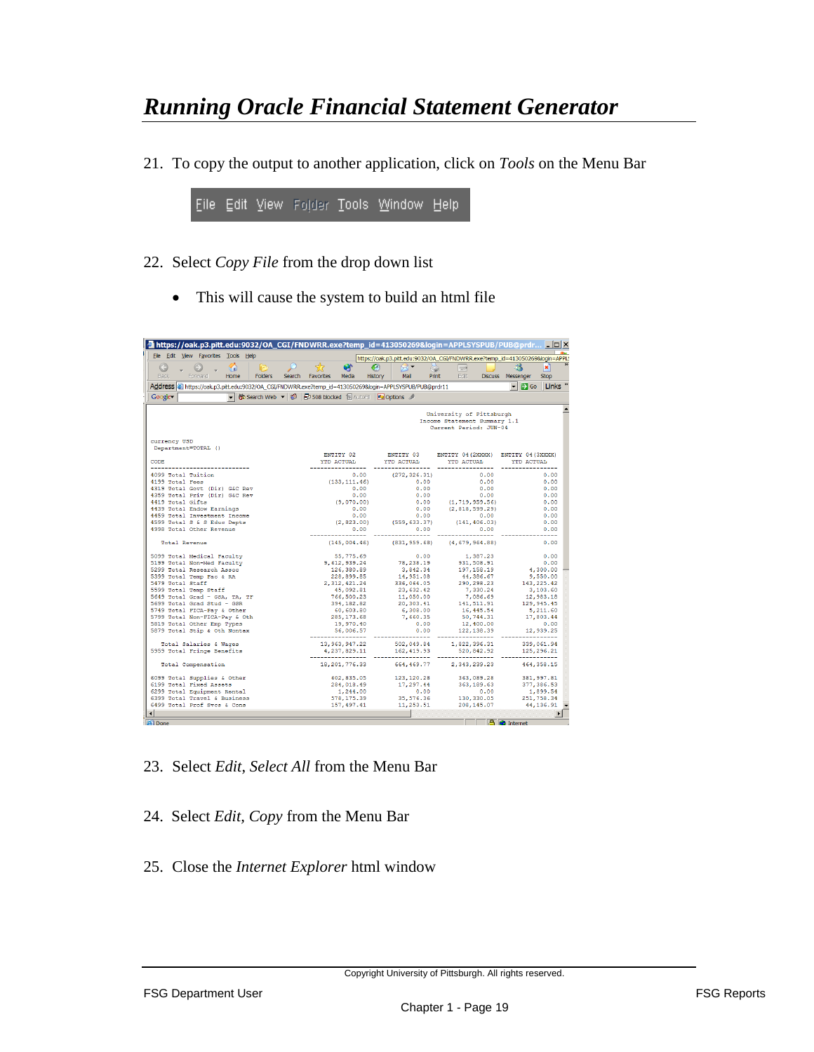21. To copy the output to another application, click on *Tools* on the Menu Bar



- 22. Select *Copy File* from the drop down list
	- This will cause the system to build an html file

| https://oak.p3.pitt.edu:9032/OA_CGI/FNDWRR.exe?temp_id=413050269&login=APPLSYSPUB/PUB@prdr LDX         |                                                        |                                    |                                                                              |                                            |
|--------------------------------------------------------------------------------------------------------|--------------------------------------------------------|------------------------------------|------------------------------------------------------------------------------|--------------------------------------------|
| File Edit View Favorites Tools Help                                                                    |                                                        |                                    | https://oak.p3.pltt.edu:9032/OA_CGI/FNDWRR.exe?temp_id=413050269&login=APPL9 |                                            |
| B<br>$\odot$<br>G                                                                                      | ø                                                      | €                                  | è<br>$\overrightarrow{z}$                                                    | 88<br>×                                    |
| <b>Back</b><br>Folders<br>Forward<br>Home                                                              | Search<br>Favorites<br>Media                           | History<br>Mail                    | Edit:<br><b>Print</b>                                                        | Discuss Messenger<br><b>Stop</b>           |
|                                                                                                        |                                                        |                                    |                                                                              |                                            |
| Address & https://oak.p3.pitt.edu:9032/OA_CGI/FNDWRR.exe?temp_id=413050269&login=APPLSYSPUB/PUB@prdr11 |                                                        |                                    |                                                                              | $\blacksquare$ Go<br>$\mathbf{r}$<br>Links |
| Google-                                                                                                | 徐 Search Web v   日508 blocked 日 AutoFil   20 Options / |                                    |                                                                              |                                            |
|                                                                                                        |                                                        |                                    |                                                                              |                                            |
|                                                                                                        |                                                        |                                    | University of Pittsburgh<br>Income Statement Summary 1.1                     |                                            |
|                                                                                                        |                                                        |                                    | Current Period: JUN-04                                                       |                                            |
|                                                                                                        |                                                        |                                    |                                                                              |                                            |
| currency USD                                                                                           |                                                        |                                    |                                                                              |                                            |
| Department=TOTAL ()                                                                                    |                                                        |                                    |                                                                              |                                            |
|                                                                                                        | ENTITY 02                                              |                                    | ENTITY 03 ENTITY 04 (2XXXX) ENTITY 04 (3XXXX)                                |                                            |
| CODE.                                                                                                  | YTD ACTUAL                                             | YTD ACTUAL                         | YTD ACTUAL                                                                   | YTD ACTUAL                                 |
| -------------<br>4099 Total Tuition                                                                    |                                                        | ----------------<br>(272, 326, 31) | 0.00                                                                         | 0.00                                       |
| 4199 Total Fees                                                                                        | (133, 111, 46)                                         | 0.00                               | 0.00<br>0.00                                                                 | 0.00                                       |
| 4319 Total Govt (Dir) G&C Rev                                                                          |                                                        | 0.00                               | 0.00<br>0.00                                                                 | 0.00                                       |
| 4359 Total Priv (Dir) G&C Rev                                                                          |                                                        | 0.00                               | 0.00<br>0.00                                                                 | 0.00                                       |
| 4419 Total Gifts                                                                                       | (9,070.00)                                             |                                    | $0.00$ $(1, 719, 959.56)$                                                    | 0.00                                       |
| 4439 Total Endow Earnings                                                                              |                                                        | 0.00                               | 0.00<br>(2,818,599.29)                                                       | 0.00                                       |
| 4459 Total Investment Income                                                                           |                                                        | 0.00                               | 0.00<br>0.00                                                                 | 0.00                                       |
| 4599 Total S & S Educ Depts                                                                            |                                                        | (2, 823, 00)<br>(559, 633, 37)     | (141, 406.03)                                                                | 0.00                                       |
| 4998 Total Other Revenue                                                                               |                                                        | 0.00                               | 0.00<br>0.00                                                                 | 0.00                                       |
| <b>Total Revenue</b>                                                                                   | ------------<br>(145, 004, 46)                         | (831, 959, 68)                     | (4, 679, 964, 88)                                                            | -----<br>0.00                              |
|                                                                                                        |                                                        |                                    |                                                                              |                                            |
| 5099 Total Medical Faculty                                                                             | 55,775.69                                              |                                    | 0.00<br>1,387.23                                                             | 0.00                                       |
| 5199 Total Non-Med Faculty                                                                             | 9,612,939.24                                           | 78,238.19                          | 931, 508.91                                                                  | 0.00                                       |
| 5299 Total Research Assoc                                                                              | 126,380.89                                             | 3.842.34                           | 197, 158, 19                                                                 | 4,300,00                                   |
| 5399 Total Temp Fac & RA                                                                               | 228,899.85                                             | 14,951.08                          | 44,386.67                                                                    | 9,550,00                                   |
| 5479 Total Staff<br>5599 Total Temp Staff                                                              | 2, 312, 421.24<br>45,092.81                            | 336,064.05<br>23,632.42            | 290, 298.23<br>7.330.24                                                      | 143, 225.42<br>3,103,60                    |
| 5649 Total Grad - GSA, TA, TF                                                                          | 766,500.23                                             | 11,050.00                          | 7,086.69                                                                     | 12,983.18                                  |
| 5699 Total Grad Stud - GSR                                                                             | 394,182.82                                             | 20,303.41                          | 141, 511.91                                                                  | 129, 945, 45                               |
| 5749 Total FICA-Pay & Other                                                                            | 60,603.80                                              | 6,308.00                           | 16, 445.54                                                                   | 5,211.60                                   |
| 5799 Total Non-FICA-Pay & Oth                                                                          | 285, 173.68                                            | 7,660.35                           | 50,744.31                                                                    | 17,803.44                                  |
| 5819 Total Other Emp Types                                                                             | 19,970,40                                              |                                    | 0.00<br>12,400.00                                                            | 0.00                                       |
| 5879 Total Stip & Oth Nontax                                                                           | 56,006.57                                              |                                    | 122, 138.39<br>0.00                                                          | 12,939.25                                  |
| Total Salaries & Wages                                                                                 | ----------------<br>13, 963, 947.22                    | ----------<br>502,049.84           | ------------<br>1,822,396.31                                                 | 339,061.94                                 |
| 5959 Total Fringe Benefits                                                                             | 4,237,829.11                                           | 162, 419.93                        | 520,842.92                                                                   | 125,296.21                                 |
|                                                                                                        | ----------------                                       | ------------                       | ------------                                                                 |                                            |
| Total Compensation                                                                                     | 18, 201, 776, 33                                       | 664, 469, 77                       | 2, 343, 239, 23                                                              | 464, 358, 15                               |
| 6099 Total Supplies & Other                                                                            | 602,835.05                                             | 123, 120.28                        | 363,089.28                                                                   | 381, 997.81                                |
| 6199 Total Fixed Assets                                                                                | 284,018,49                                             | 17,297,44                          | 363, 189, 63                                                                 | 377, 386, 53                               |
| 6299 Total Equipment Rental                                                                            | 1,244.00                                               |                                    | 0.00<br>0.00                                                                 | 1,899.54                                   |
| 6399 Total Travel & Business                                                                           | 578, 175.39                                            | 35,576.36                          | 130, 330.05                                                                  | 251,758.34                                 |
| 6499 Total Prof Sycs & Cons                                                                            | 157, 497, 41                                           | 11,253.51                          | 208, 145, 07                                                                 | 44,136.91                                  |
|                                                                                                        |                                                        |                                    |                                                                              |                                            |
| <b>All</b> Done                                                                                        |                                                        |                                    |                                                                              | <b>A</b> Internet                          |

- 23. Select *Edit*, *Select All* from the Menu Bar
- 24. Select *Edit, Copy* from the Menu Bar
- 25. Close the *Internet Explorer* html window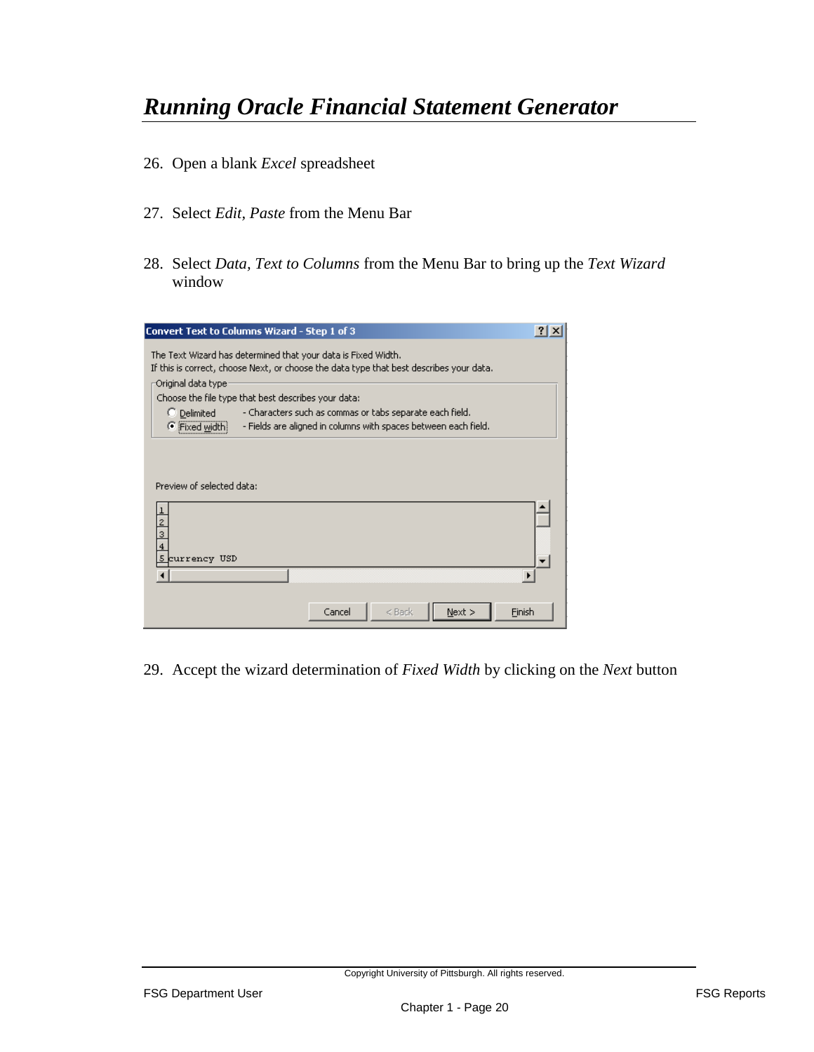- 26. Open a blank *Excel* spreadsheet
- 27. Select *Edit, Paste* from the Menu Bar
- 28. Select *Data, Text to Columns* from the Menu Bar to bring up the *Text Wizard*  window

| <b>Convert Text to Columns Wizard - Step 1 of 3</b>                                                                                                      | $2$ $\times$ |
|----------------------------------------------------------------------------------------------------------------------------------------------------------|--------------|
| The Text Wizard has determined that your data is Fixed Width.<br>If this is correct, choose Next, or choose the data type that best describes your data. |              |
| Original data type:                                                                                                                                      |              |
| Choose the file type that best describes your data:                                                                                                      |              |
| - Characters such as commas or tabs separate each field.<br>C Delimited                                                                                  |              |
| - Fields are aligned in columns with spaces between each field.<br>Fixed width                                                                           |              |
|                                                                                                                                                          |              |
|                                                                                                                                                          |              |
| Preview of selected data:                                                                                                                                |              |
|                                                                                                                                                          |              |
|                                                                                                                                                          |              |
|                                                                                                                                                          |              |
| 4                                                                                                                                                        |              |
| 5 currency USD                                                                                                                                           |              |
|                                                                                                                                                          |              |
|                                                                                                                                                          |              |
|                                                                                                                                                          |              |
| Cancel<br>Finish<br>$<$ Back<br>Next                                                                                                                     |              |

29. Accept the wizard determination of *Fixed Width* by clicking on the *Next* button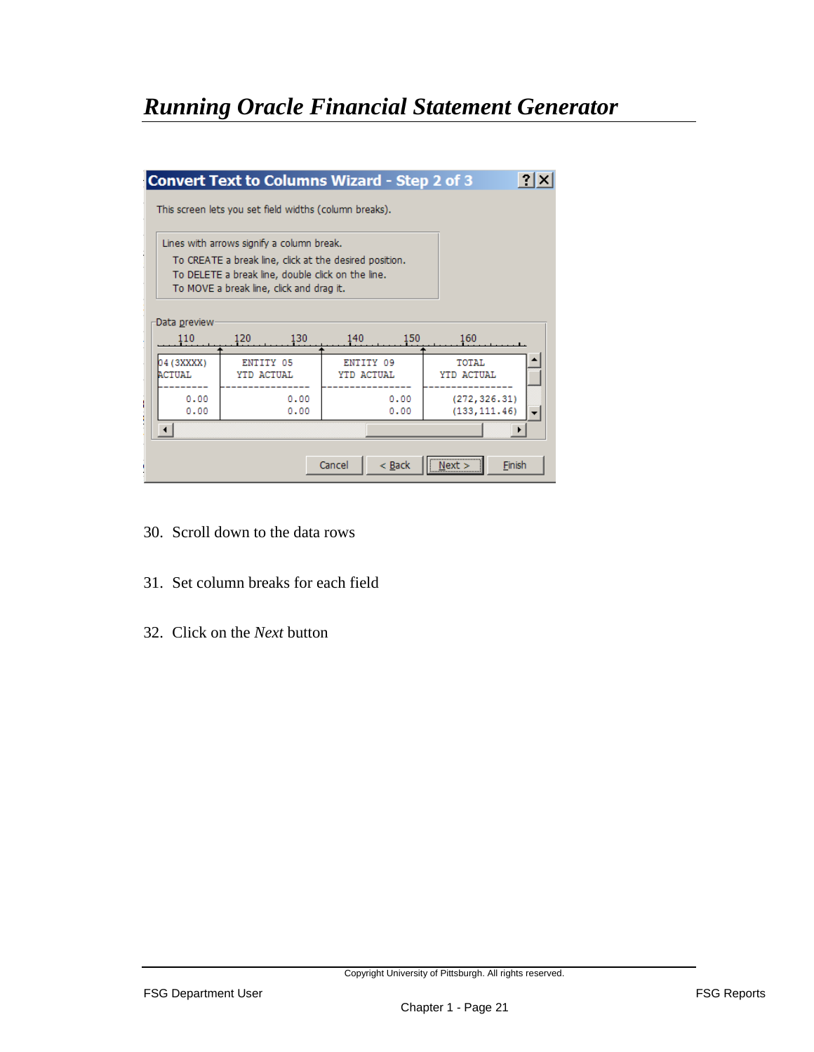|                             | Lines with arrows signify a column break.                                                                                                               |                         |                     |
|-----------------------------|---------------------------------------------------------------------------------------------------------------------------------------------------------|-------------------------|---------------------|
|                             | To CREATE a break line, click at the desired position.<br>To DELETE a break line, double click on the line.<br>To MOVE a break line, click and drag it. |                         |                     |
|                             |                                                                                                                                                         |                         |                     |
| Data preview<br>110         | 120<br>130                                                                                                                                              | 150<br>140              | 160                 |
| 04 (3XXXX)<br><b>ACTUAL</b> | ENTITY 05<br>YTD ACTUAL                                                                                                                                 | ENTITY 09<br>YTD ACTUAL | TOTAL<br>YTD ACTUAL |

- 30. Scroll down to the data rows
- 31. Set column breaks for each field
- 32. Click on the *Next* button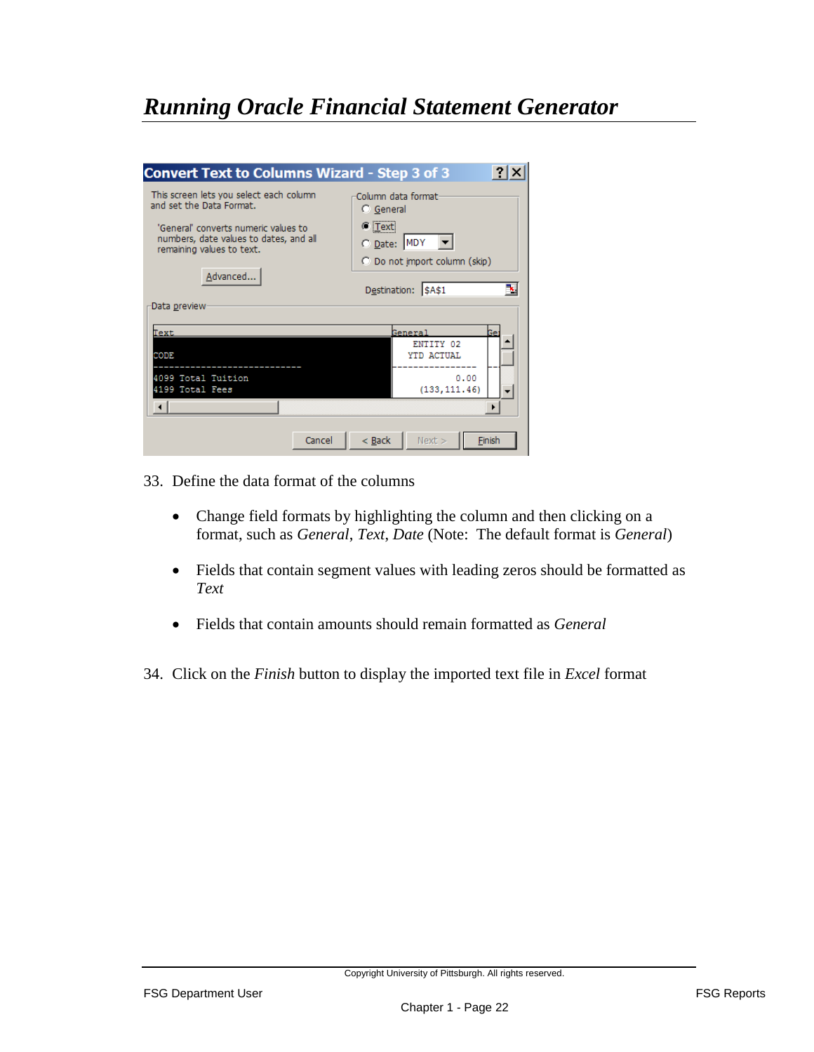| <b>Convert Text to Columns Wizard - Step 3 of 3</b>                                                                                                                                            |                                                                                                                                         |
|------------------------------------------------------------------------------------------------------------------------------------------------------------------------------------------------|-----------------------------------------------------------------------------------------------------------------------------------------|
| This screen lets you select each column<br>and set the Data Format.<br>'General' converts numeric values to<br>numbers, date values to dates, and all<br>remaining values to text.<br>Advanced | Column data format:<br><b>C</b> General<br>$\sigma$ [Text]<br>O Date: MDY<br>C Do not import column (skip)<br>Destination: \$A\$1<br>ъ, |
| Data preview                                                                                                                                                                                   |                                                                                                                                         |
| Text                                                                                                                                                                                           | General                                                                                                                                 |
| <b>CODE</b>                                                                                                                                                                                    | ENTITY 02<br>YTD ACTUAL                                                                                                                 |
|                                                                                                                                                                                                |                                                                                                                                         |
| 4099 Total Tuition                                                                                                                                                                             | 0.00                                                                                                                                    |
| 4199 Total Fees                                                                                                                                                                                | (133, 111.46)                                                                                                                           |
|                                                                                                                                                                                                |                                                                                                                                         |
| Cancel                                                                                                                                                                                         | $<$ Back<br>Next<br>Finish                                                                                                              |

- 33. Define the data format of the columns
	- Change field formats by highlighting the column and then clicking on a format, such as *General*, *Text*, *Date* (Note: The default format is *General*)
	- Fields that contain segment values with leading zeros should be formatted as *Text*
	- Fields that contain amounts should remain formatted as *General*
- 34. Click on the *Finish* button to display the imported text file in *Excel* format